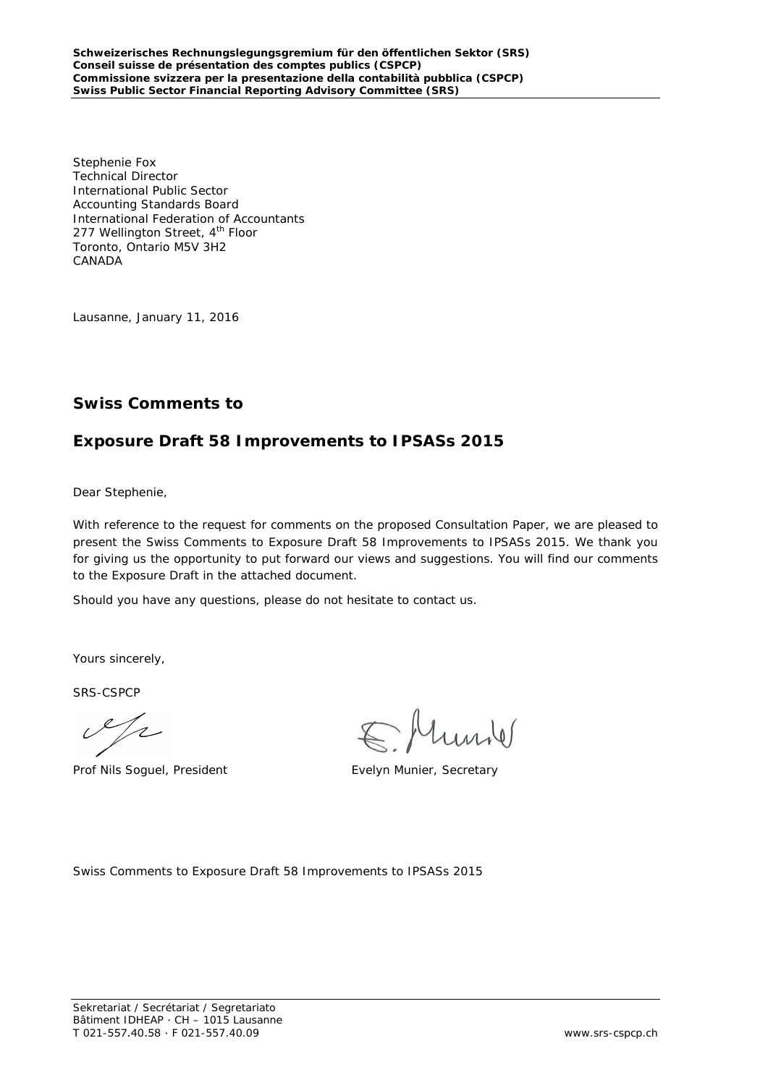Stephenie Fox Technical Director International Public Sector Accounting Standards Board International Federation of Accountants 277 Wellington Street, 4<sup>th</sup> Floor Toronto, Ontario M5V 3H2 CANADA

Lausanne, January 11, 2016

# **Swiss Comments to**

# **Exposure Draft 58 Improvements to IPSASs 2015**

Dear Stephenie,

With reference to the request for comments on the proposed Consultation Paper, we are pleased to present the Swiss Comments to Exposure Draft 58 Improvements to IPSASs 2015. We thank you for giving us the opportunity to put forward our views and suggestions. You will find our comments to the Exposure Draft in the attached document.

Should you have any questions, please do not hesitate to contact us.

Yours sincerely,

SRS-CSPCP

 $\mathscr{L}/\mathscr{L}$ 

Prof Nils Soguel, President Evelyn Munier, Secretary

hunder

Swiss Comments to Exposure Draft 58 Improvements to IPSASs 2015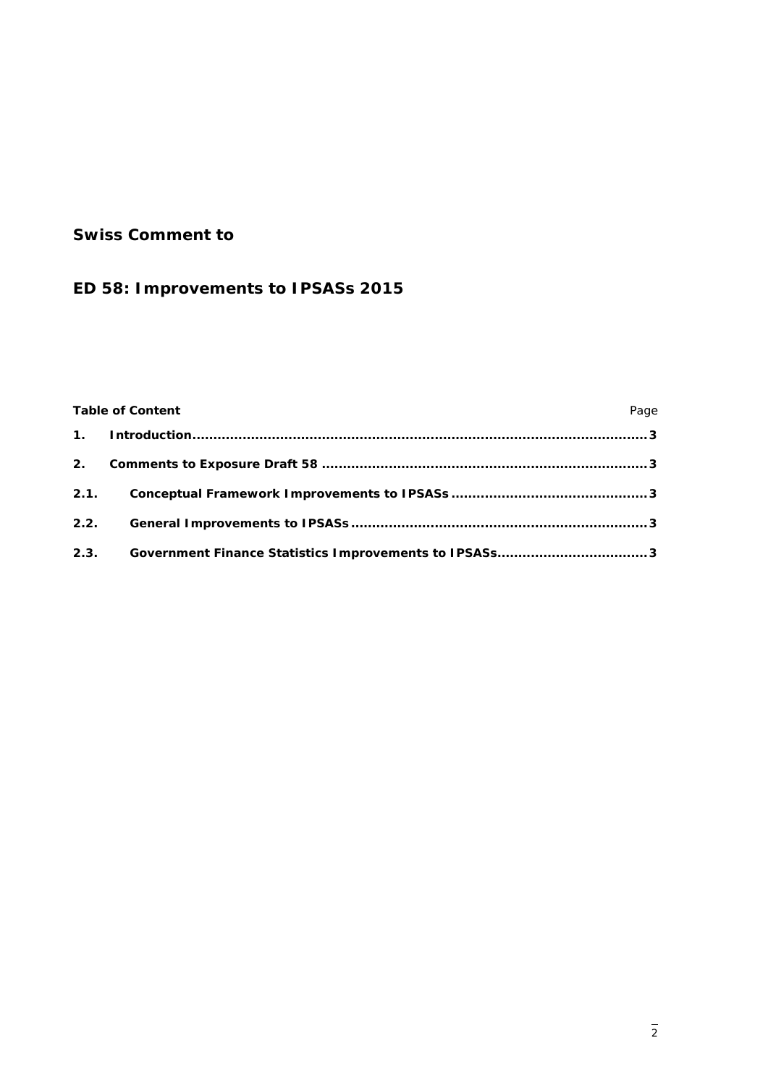# **Swiss Comment to**

# **ED 58: Improvements to IPSASs 2015**

# Table of Content **Page**